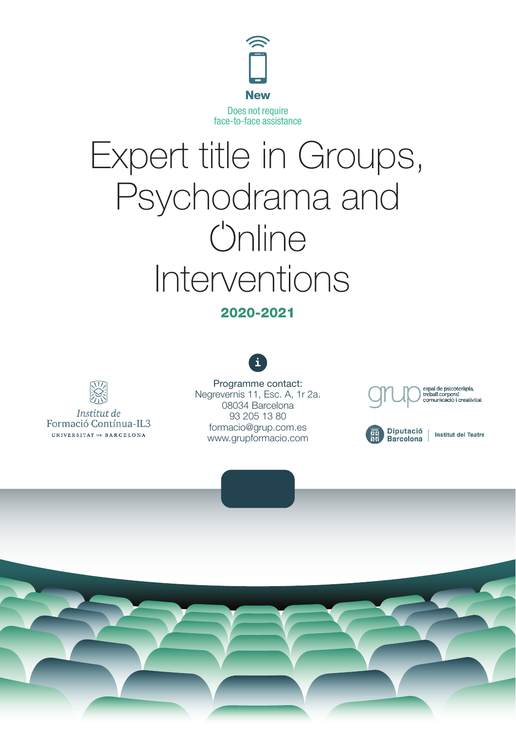

# Expert title in Groups, Psychodrama and *<u>Unline</u>* Interventions

#### 2020-2021



Institut de Formació Contínua-IL3 UNIVERSITAT DE BARGELONA

Programme contact: Negrevernis 11, Esc. A, 1r 2a. 08034 Barcelona 93 205 13 80 formacio@grup.com.es www.grupformacio.com





Institut del Teatre

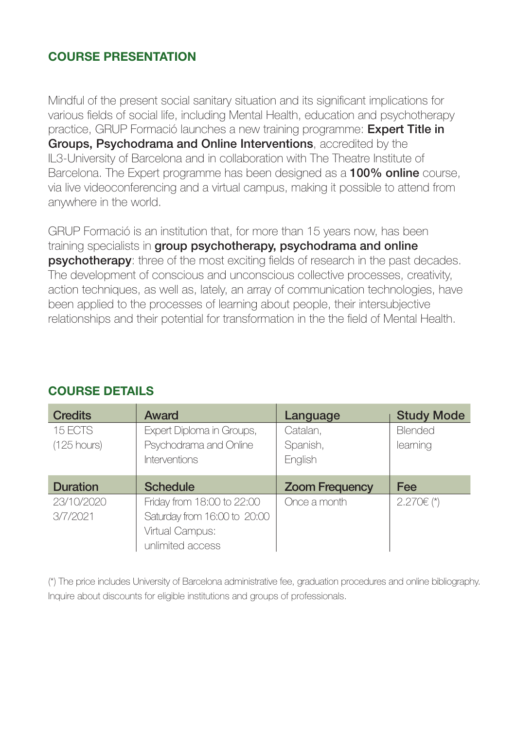## COURSE PRESENTATION

Mindful of the present social sanitary situation and its significant implications for various fields of social life, including Mental Health, education and psychotherapy practice, GRUP Formació launches a new training programme: **Expert Title in** Groups, Psychodrama and Online Interventions, accredited by the IL3-University of Barcelona and in collaboration with The Theatre Institute of Barcelona. The Expert programme has been designed as a **100% online** course, via live videoconferencing and a virtual campus, making it possible to attend from anywhere in the world.

GRUP Formació is an institution that, for more than 15 years now, has been training specialists in group psychotherapy, psychodrama and online **psychotherapy**: three of the most exciting fields of research in the past decades. The development of conscious and unconscious collective processes, creativity, action techniques, as well as, lately, an array of communication technologies, have been applied to the processes of learning about people, their intersubjective relationships and their potential for transformation in the the field of Mental Health.

| <b>Credits</b>  | <b>Award</b>                 | Language              | <b>Study Mode</b> |
|-----------------|------------------------------|-----------------------|-------------------|
| 15 ECTS         | Expert Diploma in Groups,    | Catalan,              | <b>Blended</b>    |
| $(125$ hours)   | Psychodrama and Online       | Spanish,              | learning          |
|                 | <b>Interventions</b>         | English               |                   |
| <b>Duration</b> | <b>Schedule</b>              | <b>Zoom Frequency</b> | <b>Fee</b>        |
| 23/10/2020      | Friday from 18:00 to 22:00   | Once a month          | $2.270 \in (*)$   |
|                 |                              |                       |                   |
| 3/7/2021        | Saturday from 16:00 to 20:00 |                       |                   |
|                 | Virtual Campus:              |                       |                   |

## COURSE DETAILS

(\*) The price includes University of Barcelona administrative fee, graduation procedures and online bibliography. Inquire about discounts for eligible institutions and groups of professionals.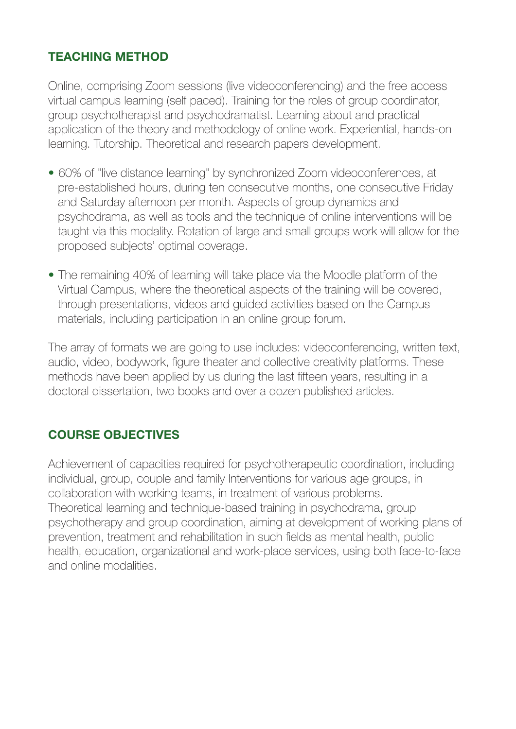## TEACHING METHOD

Online, comprising Zoom sessions (live videoconferencing) and the free access virtual campus learning (self paced). Training for the roles of group coordinator, group psychotherapist and psychodramatist. Learning about and practical application of the theory and methodology of online work. Experiential, hands-on learning. Tutorship. Theoretical and research papers development.

- 60% of "live distance learning" by synchronized Zoom videoconferences, at pre-established hours, during ten consecutive months, one consecutive Friday and Saturday afternoon per month. Aspects of group dynamics and psychodrama, as well as tools and the technique of online interventions will be taught via this modality. Rotation of large and small groups work will allow for the proposed subjects' optimal coverage.
- The remaining 40% of learning will take place via the Moodle platform of the Virtual Campus, where the theoretical aspects of the training will be covered, through presentations, videos and guided activities based on the Campus materials, including participation in an online group forum.

The array of formats we are going to use includes: videoconferencing, written text, audio, video, bodywork, figure theater and collective creativity platforms. These methods have been applied by us during the last fifteen years, resulting in a doctoral dissertation, two books and over a dozen published articles.

## COURSE OBJECTIVES

Achievement of capacities required for psychotherapeutic coordination, including individual, group, couple and family Interventions for various age groups, in collaboration with working teams, in treatment of various problems. Theoretical learning and technique-based training in psychodrama, group psychotherapy and group coordination, aiming at development of working plans of prevention, treatment and rehabilitation in such fields as mental health, public health, education, organizational and work-place services, using both face-to-face and online modalities.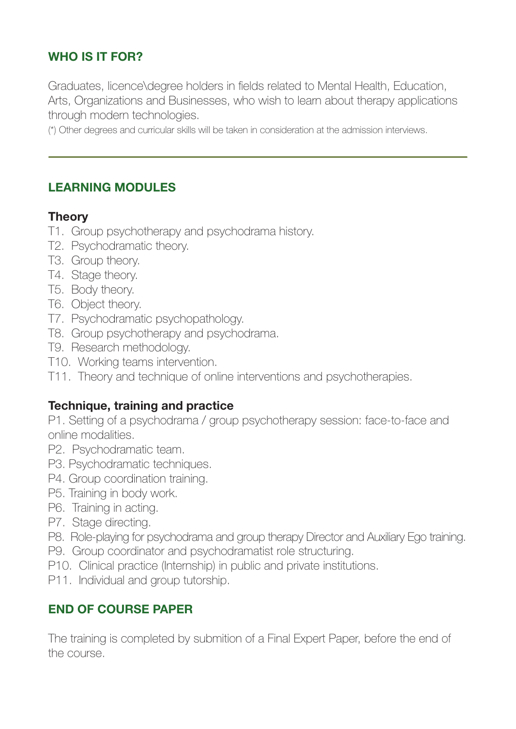# WHO IS IT FOR?

Graduates, licence\degree holders in fields related to Mental Health, Education, Arts, Organizations and Businesses, who wish to learn about therapy applications through modern technologies.

(\*) Other degrees and curricular skills will be taken in consideration at the admission interviews.

## LEARNING MODULES

## **Theory**

- T1. Group psychotherapy and psychodrama history.
- T2. Psychodramatic theory.
- T3. Group theory.
- T4. Stage theory.
- T5. Body theory.
- T6. Object theory.
- T7. Psychodramatic psychopathology.
- T8. Group psychotherapy and psychodrama.
- T9. Research methodology.
- T10. Working teams intervention.
- T11. Theory and technique of online interventions and psychotherapies.

## Technique, training and practice

P1. Setting of a psychodrama / group psychotherapy session: face-to-face and online modalities.

- P2. Psychodramatic team.
- P3. Psychodramatic techniques.
- P4. Group coordination training.
- P5. Training in body work.
- P6. Training in acting.
- P7. Stage directing.
- P8. Role-playing for psychodrama and group therapy Director and Auxiliary Ego training.
- P9. Group coordinator and psychodramatist role structuring.
- P10. Clinical practice (Internship) in public and private institutions.
- P11. Individual and group tutorship.

## END OF COURSE PAPER

The training is completed by submition of a Final Expert Paper, before the end of the course.